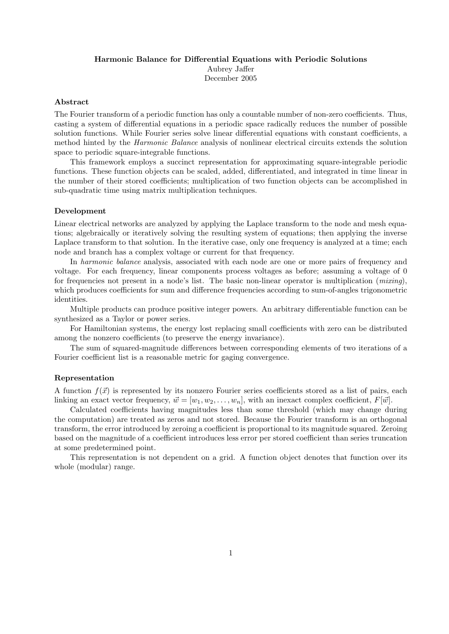#### Harmonic Balance for Differential Equations with Periodic Solutions

Aubrey Jaffer December 2005

## Abstract

The Fourier transform of a periodic function has only a countable number of non-zero coefficients. Thus, casting a system of differential equations in a periodic space radically reduces the number of possible solution functions. While Fourier series solve linear differential equations with constant coefficients, a method hinted by the Harmonic Balance analysis of nonlinear electrical circuits extends the solution space to periodic square-integrable functions.

This framework employs a succinct representation for approximating square-integrable periodic functions. These function objects can be scaled, added, differentiated, and integrated in time linear in the number of their stored coefficients; multiplication of two function objects can be accomplished in sub-quadratic time using matrix multiplication techniques.

# Development

Linear electrical networks are analyzed by applying the Laplace transform to the node and mesh equations; algebraically or iteratively solving the resulting system of equations; then applying the inverse Laplace transform to that solution. In the iterative case, only one frequency is analyzed at a time; each node and branch has a complex voltage or current for that frequency.

In *harmonic balance* analysis, associated with each node are one or more pairs of frequency and voltage. For each frequency, linear components process voltages as before; assuming a voltage of 0 for frequencies not present in a node's list. The basic non-linear operator is multiplication  $(mixinq)$ , which produces coefficients for sum and difference frequencies according to sum-of-angles trigonometric identities.

Multiple products can produce positive integer powers. An arbitrary differentiable function can be synthesized as a Taylor or power series.

For Hamiltonian systems, the energy lost replacing small coefficients with zero can be distributed among the nonzero coefficients (to preserve the energy invariance).

The sum of squared-magnitude differences between corresponding elements of two iterations of a Fourier coefficient list is a reasonable metric for gaging convergence.

## Representation

A function  $f(\vec{x})$  is represented by its nonzero Fourier series coefficients stored as a list of pairs, each linking an exact vector frequency,  $\vec{w} = [w_1, w_2, \dots, w_n]$ , with an inexact complex coefficient,  $F[\vec{w}]$ .

Calculated coefficients having magnitudes less than some threshold (which may change during the computation) are treated as zeros and not stored. Because the Fourier transform is an orthogonal transform, the error introduced by zeroing a coefficient is proportional to its magnitude squared. Zeroing based on the magnitude of a coefficient introduces less error per stored coefficient than series truncation at some predetermined point.

This representation is not dependent on a grid. A function object denotes that function over its whole (modular) range.